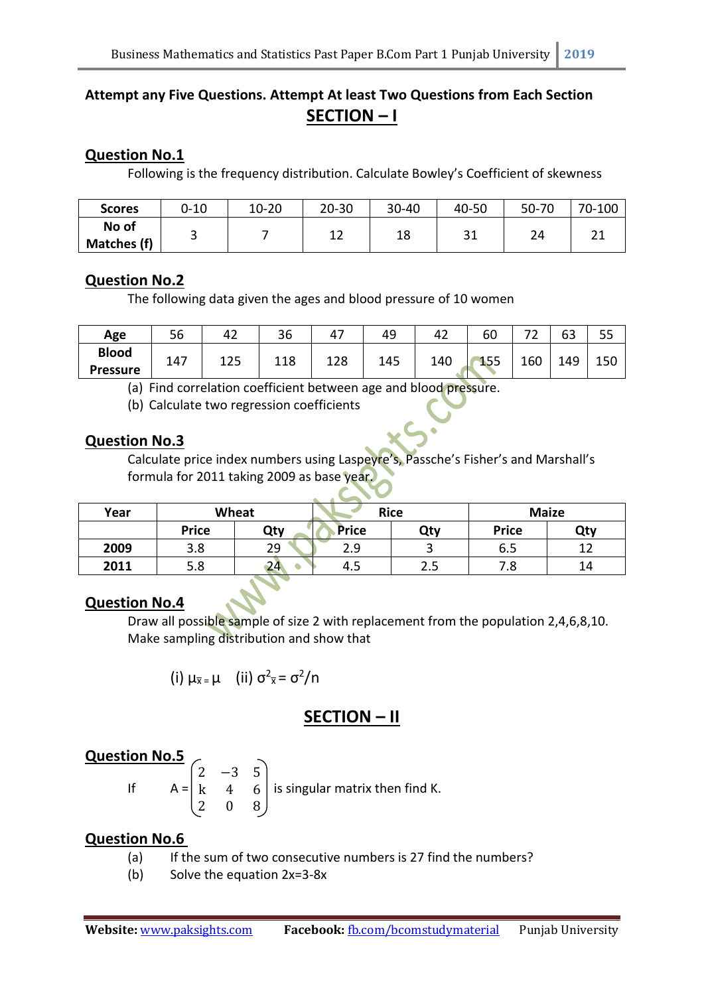# **Attempt any Five Questions. Attempt At least Two Questions from Each Section SECTION – I**

## **Question No.1**

Following is the frequency distribution. Calculate Bowley's Coefficient of skewness

| <b>Scores</b>        | $0 - 10$ | $10 - 20$ | $20 - 30$ | 30-40 | 40-50     | 50-70 | 70-100 |
|----------------------|----------|-----------|-----------|-------|-----------|-------|--------|
| No of<br>Matches (f) |          |           | ᅩᄼ        | 18    | າ 1<br>JТ | 24    | $\sim$ |

### **Question No.2**

The following data given the ages and blood pressure of 10 women

| Age             | Γ٢<br>סכ | 42  | 36  |     | 49  | 47  | 60  | $\overline{\phantom{a}}$<br>- | $\sim$<br>b3 | e e<br>ں ر |
|-----------------|----------|-----|-----|-----|-----|-----|-----|-------------------------------|--------------|------------|
| <b>Blood</b>    | 147      | 125 | 118 | 128 | 145 | 140 | 155 | 160                           | 149          | 150        |
| <b>Pressure</b> |          |     |     |     |     |     |     |                               |              |            |

(a) Find correlation coefficient between age and blood pressure.

(b) Calculate two regression coefficients

### **Question No.3**

Calculate price index numbers using Laspeyre's, Passche's Fisher's and Marshall's formula for 2011 taking 2009 as base year.

| Year | <b>Wheat</b> |     | <b>Rice</b>  |     | <b>Maize</b> |     |  |
|------|--------------|-----|--------------|-----|--------------|-----|--|
|      | <b>Price</b> | Qty | <b>Price</b> | Qty | <b>Price</b> | Qty |  |
| 2009 | 3.8          | 29  | 2.9          |     | 6.5          |     |  |
| 2011 | 5.8          | 24  | 4.5          | 2.5 | 7.8          | 14  |  |

## **Question No.4**

Draw all possible sample of size 2 with replacement from the population 2,4,6,8,10. Make sampling distribution and show that

(i) 
$$
\mu_{\overline{x}} = \mu
$$
 (ii)  $\sigma^2_{\overline{x}} = \sigma^2/n$ 

## **SECTION – II**

## **Question No.5**

If  $A =$ 2 −3 5 k 4 6 2 0 8

is singular matrix then find K.

### **Question No.6**

- (a) If the sum of two consecutive numbers is 27 find the numbers?
- (b) Solve the equation 2x=3-8x